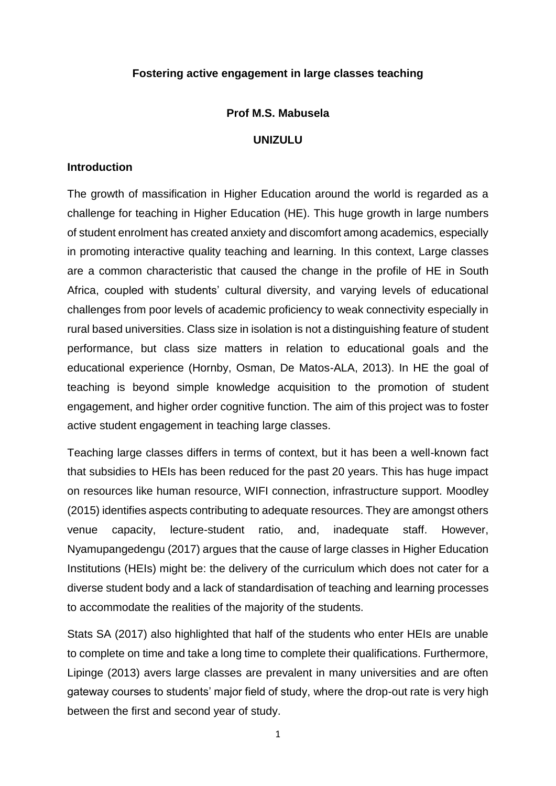## **Fostering active engagement in large classes teaching**

#### **Prof M.S. Mabusela**

## **UNIZULU**

## **Introduction**

The growth of massification in Higher Education around the world is regarded as a challenge for teaching in Higher Education (HE). This huge growth in large numbers of student enrolment has created anxiety and discomfort among academics, especially in promoting interactive quality teaching and learning. In this context, Large classes are a common characteristic that caused the change in the profile of HE in South Africa, coupled with students' cultural diversity, and varying levels of educational challenges from poor levels of academic proficiency to weak connectivity especially in rural based universities. Class size in isolation is not a distinguishing feature of student performance, but class size matters in relation to educational goals and the educational experience (Hornby, Osman, De Matos-ALA, 2013). In HE the goal of teaching is beyond simple knowledge acquisition to the promotion of student engagement, and higher order cognitive function. The aim of this project was to foster active student engagement in teaching large classes.

Teaching large classes differs in terms of context, but it has been a well-known fact that subsidies to HEIs has been reduced for the past 20 years. This has huge impact on resources like human resource, WIFI connection, infrastructure support. Moodley (2015) identifies aspects contributing to adequate resources. They are amongst others venue capacity, lecture-student ratio, and, inadequate staff. However, Nyamupangedengu (2017) argues that the cause of large classes in Higher Education Institutions (HEIs) might be: the delivery of the curriculum which does not cater for a diverse student body and a lack of standardisation of teaching and learning processes to accommodate the realities of the majority of the students.

Stats SA (2017) also highlighted that half of the students who enter HEIs are unable to complete on time and take a long time to complete their qualifications. Furthermore, Lipinge (2013) avers large classes are prevalent in many universities and are often gateway courses to students' major field of study, where the drop-out rate is very high between the first and second year of study.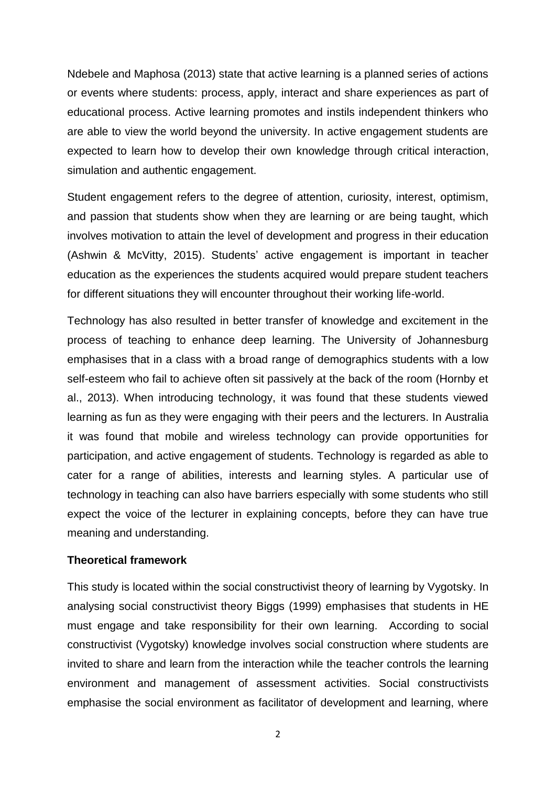Ndebele and Maphosa (2013) state that active learning is a planned series of actions or events where students: process, apply, interact and share experiences as part of educational process. Active learning promotes and instils independent thinkers who are able to view the world beyond the university. In active engagement students are expected to learn how to develop their own knowledge through critical interaction, simulation and authentic engagement.

Student engagement refers to the degree of attention, curiosity, interest, optimism, and passion that students show when they are learning or are being taught, which involves motivation to attain the level of development and progress in their education (Ashwin & McVitty, 2015). Students' active engagement is important in teacher education as the experiences the students acquired would prepare student teachers for different situations they will encounter throughout their working life-world.

Technology has also resulted in better transfer of knowledge and excitement in the process of teaching to enhance deep learning. The University of Johannesburg emphasises that in a class with a broad range of demographics students with a low self-esteem who fail to achieve often sit passively at the back of the room (Hornby et al., 2013). When introducing technology, it was found that these students viewed learning as fun as they were engaging with their peers and the lecturers. In Australia it was found that mobile and wireless technology can provide opportunities for participation, and active engagement of students. Technology is regarded as able to cater for a range of abilities, interests and learning styles. A particular use of technology in teaching can also have barriers especially with some students who still expect the voice of the lecturer in explaining concepts, before they can have true meaning and understanding.

#### **Theoretical framework**

This study is located within the social constructivist theory of learning by Vygotsky. In analysing social constructivist theory Biggs (1999) emphasises that students in HE must engage and take responsibility for their own learning. According to social constructivist (Vygotsky) knowledge involves social construction where students are invited to share and learn from the interaction while the teacher controls the learning environment and management of assessment activities. Social constructivists emphasise the social environment as facilitator of development and learning, where

2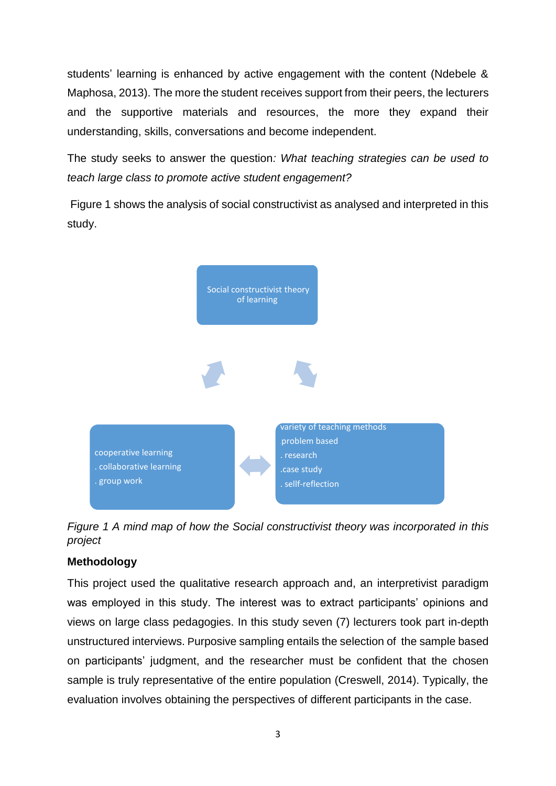students' learning is enhanced by active engagement with the content (Ndebele & Maphosa, 2013). The more the student receives support from their peers, the lecturers and the supportive materials and resources, the more they expand their understanding, skills, conversations and become independent.

The study seeks to answer the question*: What teaching strategies can be used to teach large class to promote active student engagement?*

Figure 1 shows the analysis of social constructivist as analysed and interpreted in this study.



*Figure 1 A mind map of how the Social constructivist theory was incorporated in this project* 

# **Methodology**

This project used the qualitative research approach and, an interpretivist paradigm was employed in this study. The interest was to extract participants' opinions and views on large class pedagogies. In this study seven (7) lecturers took part in-depth unstructured interviews. Purposive sampling entails the selection of the sample based on participants' judgment, and the researcher must be confident that the chosen sample is truly representative of the entire population (Creswell, 2014). Typically, the evaluation involves obtaining the perspectives of different participants in the case.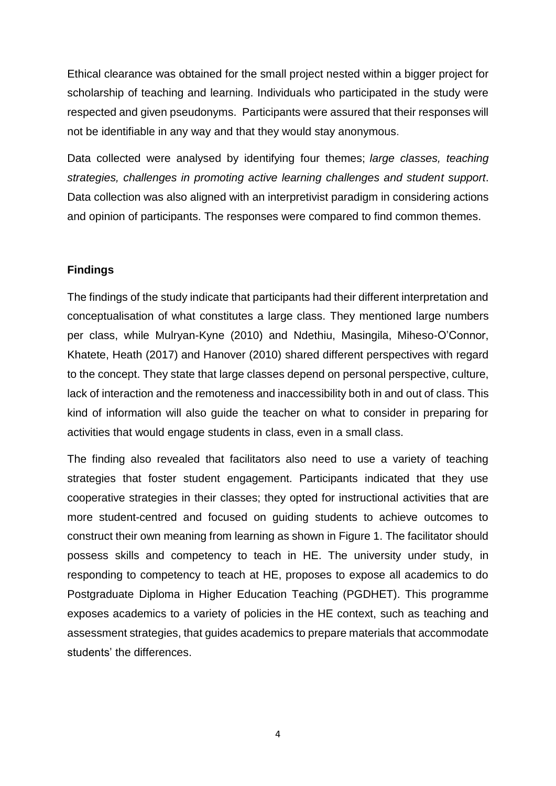Ethical clearance was obtained for the small project nested within a bigger project for scholarship of teaching and learning. Individuals who participated in the study were respected and given pseudonyms. Participants were assured that their responses will not be identifiable in any way and that they would stay anonymous.

Data collected were analysed by identifying four themes; *large classes, teaching strategies, challenges in promoting active learning challenges and student support*. Data collection was also aligned with an interpretivist paradigm in considering actions and opinion of participants. The responses were compared to find common themes.

## **Findings**

The findings of the study indicate that participants had their different interpretation and conceptualisation of what constitutes a large class. They mentioned large numbers per class, while Mulryan-Kyne (2010) and Ndethiu, Masingila, Miheso-O'Connor, Khatete, Heath (2017) and Hanover (2010) shared different perspectives with regard to the concept. They state that large classes depend on personal perspective, culture, lack of interaction and the remoteness and inaccessibility both in and out of class. This kind of information will also guide the teacher on what to consider in preparing for activities that would engage students in class, even in a small class.

The finding also revealed that facilitators also need to use a variety of teaching strategies that foster student engagement. Participants indicated that they use cooperative strategies in their classes; they opted for instructional activities that are more student-centred and focused on guiding students to achieve outcomes to construct their own meaning from learning as shown in Figure 1. The facilitator should possess skills and competency to teach in HE. The university under study, in responding to competency to teach at HE, proposes to expose all academics to do Postgraduate Diploma in Higher Education Teaching (PGDHET). This programme exposes academics to a variety of policies in the HE context, such as teaching and assessment strategies, that guides academics to prepare materials that accommodate students' the differences.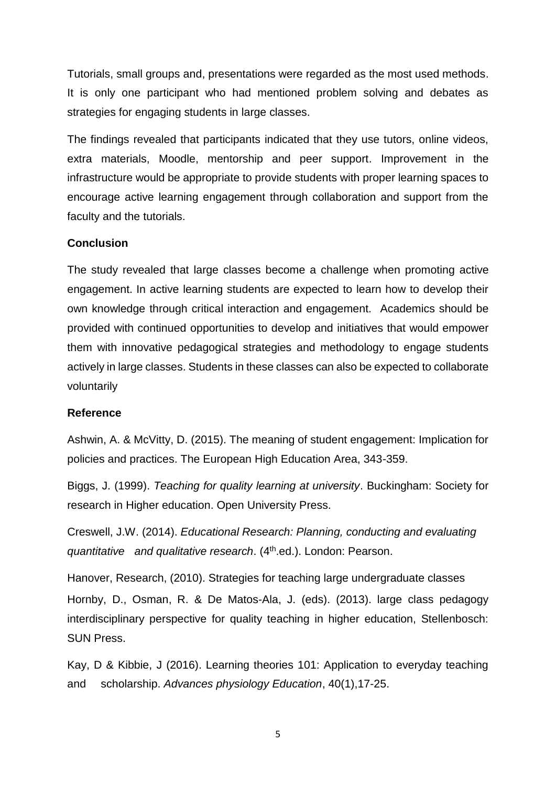Tutorials, small groups and, presentations were regarded as the most used methods. It is only one participant who had mentioned problem solving and debates as strategies for engaging students in large classes.

The findings revealed that participants indicated that they use tutors, online videos, extra materials, Moodle, mentorship and peer support. Improvement in the infrastructure would be appropriate to provide students with proper learning spaces to encourage active learning engagement through collaboration and support from the faculty and the tutorials.

#### **Conclusion**

The study revealed that large classes become a challenge when promoting active engagement. In active learning students are expected to learn how to develop their own knowledge through critical interaction and engagement. Academics should be provided with continued opportunities to develop and initiatives that would empower them with innovative pedagogical strategies and methodology to engage students actively in large classes. Students in these classes can also be expected to collaborate voluntarily

#### **Reference**

Ashwin, A. & McVitty, D. (2015). The meaning of student engagement: Implication for policies and practices. The European High Education Area, 343-359.

Biggs, J. (1999). *Teaching for quality learning at university*. Buckingham: Society for research in Higher education. Open University Press.

Creswell, J.W. (2014). *Educational Research: Planning, conducting and evaluating quantitative and qualitative research*. (4th.ed.). London: Pearson.

Hanover, Research, (2010). Strategies for teaching large undergraduate classes Hornby, D., Osman, R. & De Matos-Ala, J. (eds). (2013). large class pedagogy interdisciplinary perspective for quality teaching in higher education, Stellenbosch: SUN Press.

Kay, D & Kibbie, J (2016). Learning theories 101: Application to everyday teaching and scholarship. *Advances physiology Education*, 40(1),17-25.